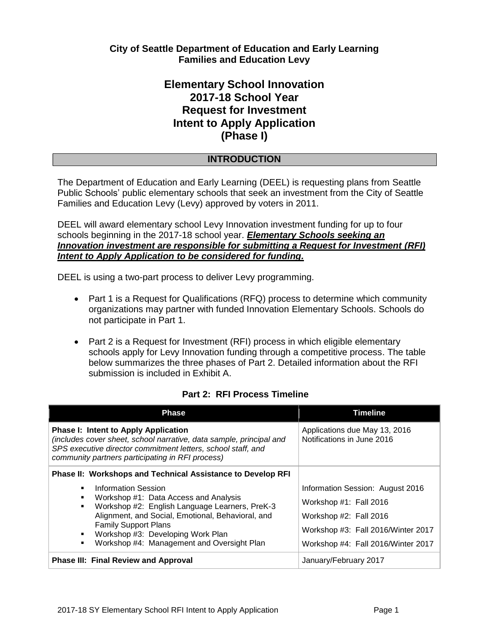# **City of Seattle Department of Education and Early Learning Families and Education Levy**

# **Elementary School Innovation 2017-18 School Year Request for Investment Intent to Apply Application (Phase I)**

# **INTRODUCTION**

The Department of Education and Early Learning (DEEL) is requesting plans from Seattle Public Schools' public elementary schools that seek an investment from the City of Seattle Families and Education Levy (Levy) approved by voters in 2011.

DEEL will award elementary school Levy Innovation investment funding for up to four schools beginning in the 2017-18 school year. *Elementary Schools seeking an Innovation investment are responsible for submitting a Request for Investment (RFI) Intent to Apply Application to be considered for funding.* 

DEEL is using a two-part process to deliver Levy programming.

- Part 1 is a Request for Qualifications (RFQ) process to determine which community organizations may partner with funded Innovation Elementary Schools. Schools do not participate in Part 1.
- Part 2 is a Request for Investment (RFI) process in which eligible elementary schools apply for Levy Innovation funding through a competitive process. The table below summarizes the three phases of Part 2. Detailed information about the RFI submission is included in Exhibit A.

### **Part 2: RFI Process Timeline**

| <b>Phase</b>                                                                                                                                                                                                                           | <b>Timeline</b>                                             |  |
|----------------------------------------------------------------------------------------------------------------------------------------------------------------------------------------------------------------------------------------|-------------------------------------------------------------|--|
| <b>Phase I: Intent to Apply Application</b><br>(includes cover sheet, school narrative, data sample, principal and<br>SPS executive director commitment letters, school staff, and<br>community partners participating in RFI process) | Applications due May 13, 2016<br>Notifications in June 2016 |  |
| <b>Phase II: Workshops and Technical Assistance to Develop RFI</b>                                                                                                                                                                     |                                                             |  |
| Information Session<br>٠<br>Workshop #1: Data Access and Analysis<br>٠<br>Workshop #2: English Language Learners, PreK-3<br>$\blacksquare$<br>Alignment, and Social, Emotional, Behavioral, and                                        | Information Session: August 2016                            |  |
|                                                                                                                                                                                                                                        | Workshop #1: Fall 2016                                      |  |
|                                                                                                                                                                                                                                        | Workshop #2: Fall 2016                                      |  |
| <b>Family Support Plans</b><br>Workshop #3: Developing Work Plan<br>$\blacksquare$                                                                                                                                                     | Workshop #3: Fall 2016/Winter 2017                          |  |
| Workshop #4: Management and Oversight Plan<br>٠                                                                                                                                                                                        | Workshop #4: Fall 2016/Winter 2017                          |  |
| <b>Phase III: Final Review and Approval</b>                                                                                                                                                                                            | January/February 2017                                       |  |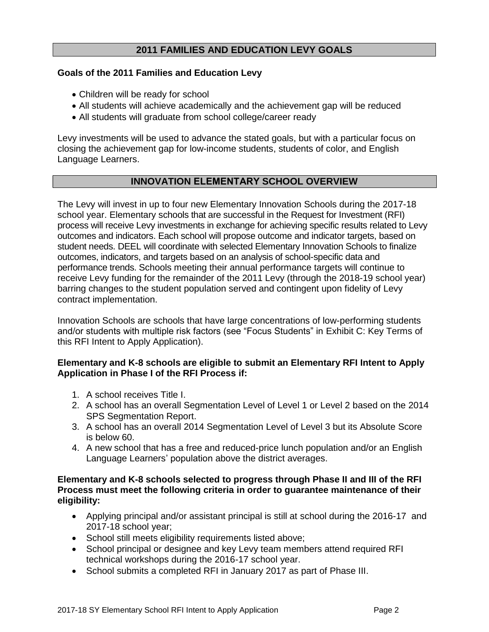# **2011 FAMILIES AND EDUCATION LEVY GOALS**

#### **Goals of the 2011 Families and Education Levy**

- Children will be ready for school
- All students will achieve academically and the achievement gap will be reduced
- All students will graduate from school college/career ready

Levy investments will be used to advance the stated goals, but with a particular focus on closing the achievement gap for low-income students, students of color, and English Language Learners.

### **INNOVATION ELEMENTARY SCHOOL OVERVIEW**

The Levy will invest in up to four new Elementary Innovation Schools during the 2017-18 school year. Elementary schools that are successful in the Request for Investment (RFI) process will receive Levy investments in exchange for achieving specific results related to Levy outcomes and indicators. Each school will propose outcome and indicator targets, based on student needs. DEEL will coordinate with selected Elementary Innovation Schools to finalize outcomes, indicators, and targets based on an analysis of school-specific data and performance trends. Schools meeting their annual performance targets will continue to receive Levy funding for the remainder of the 2011 Levy (through the 2018-19 school year) barring changes to the student population served and contingent upon fidelity of Levy contract implementation.

Innovation Schools are schools that have large concentrations of low-performing students and/or students with multiple risk factors (see "Focus Students" in Exhibit C: Key Terms of this RFI Intent to Apply Application).

#### **Elementary and K-8 schools are eligible to submit an Elementary RFI Intent to Apply Application in Phase I of the RFI Process if:**

- 1. A school receives Title I.
- 2. A school has an overall Segmentation Level of Level 1 or Level 2 based on the 2014 SPS Segmentation Report.
- 3. A school has an overall 2014 Segmentation Level of Level 3 but its Absolute Score is below 60.
- 4. A new school that has a free and reduced-price lunch population and/or an English Language Learners' population above the district averages.

#### **Elementary and K-8 schools selected to progress through Phase II and III of the RFI Process must meet the following criteria in order to guarantee maintenance of their eligibility:**

- Applying principal and/or assistant principal is still at school during the 2016-17 and 2017-18 school year;
- School still meets eligibility requirements listed above;
- School principal or designee and key Levy team members attend required RFI technical workshops during the 2016-17 school year.
- School submits a completed RFI in January 2017 as part of Phase III.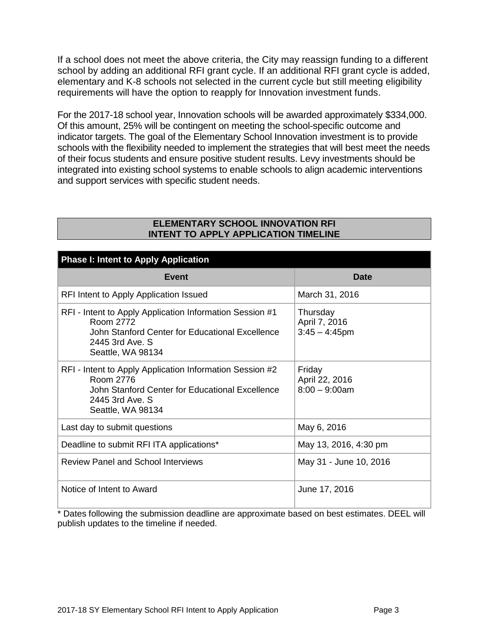If a school does not meet the above criteria, the City may reassign funding to a different school by adding an additional RFI grant cycle. If an additional RFI grant cycle is added, elementary and K-8 schools not selected in the current cycle but still meeting eligibility requirements will have the option to reapply for Innovation investment funds.

For the 2017-18 school year, Innovation schools will be awarded approximately \$334,000. Of this amount, 25% will be contingent on meeting the school-specific outcome and indicator targets. The goal of the Elementary School Innovation investment is to provide schools with the flexibility needed to implement the strategies that will best meet the needs of their focus students and ensure positive student results. Levy investments should be integrated into existing school systems to enable schools to align academic interventions and support services with specific student needs.

### **ELEMENTARY SCHOOL INNOVATION RFI INTENT TO APPLY APPLICATION TIMELINE**

| <b>Phase I: Intent to Apply Application</b>                                                                                                                      |                                               |  |  |
|------------------------------------------------------------------------------------------------------------------------------------------------------------------|-----------------------------------------------|--|--|
| Event                                                                                                                                                            | <b>Date</b>                                   |  |  |
| RFI Intent to Apply Application Issued                                                                                                                           | March 31, 2016                                |  |  |
| RFI - Intent to Apply Application Information Session #1<br>Room 2772<br>John Stanford Center for Educational Excellence<br>2445 3rd Ave. S<br>Seattle, WA 98134 | Thursday<br>April 7, 2016<br>$3:45 - 4:45$ pm |  |  |
| RFI - Intent to Apply Application Information Session #2<br>Room 2776<br>John Stanford Center for Educational Excellence<br>2445 3rd Ave. S<br>Seattle, WA 98134 | Friday<br>April 22, 2016<br>$8:00 - 9:00$ am  |  |  |
| Last day to submit questions                                                                                                                                     | May 6, 2016                                   |  |  |
| Deadline to submit RFI ITA applications*                                                                                                                         | May 13, 2016, 4:30 pm                         |  |  |
| <b>Review Panel and School Interviews</b>                                                                                                                        | May 31 - June 10, 2016                        |  |  |
| Notice of Intent to Award                                                                                                                                        | June 17, 2016                                 |  |  |

\* Dates following the submission deadline are approximate based on best estimates. DEEL will publish updates to the timeline if needed.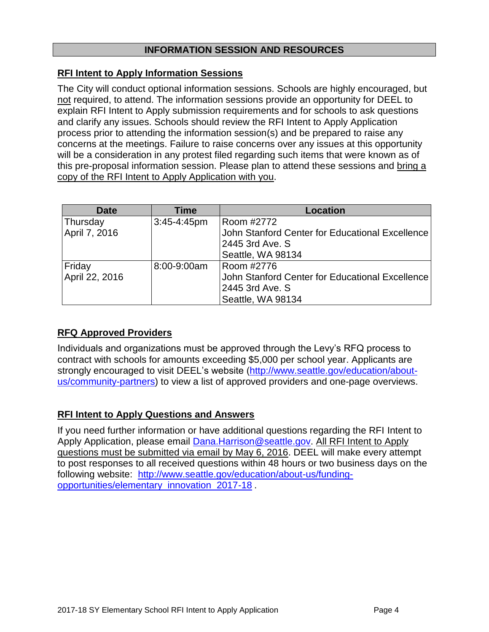# **INFORMATION SESSION AND RESOURCES**

### **RFI Intent to Apply Information Sessions**

The City will conduct optional information sessions. Schools are highly encouraged, but not required, to attend. The information sessions provide an opportunity for DEEL to explain RFI Intent to Apply submission requirements and for schools to ask questions and clarify any issues. Schools should review the RFI Intent to Apply Application process prior to attending the information session(s) and be prepared to raise any concerns at the meetings. Failure to raise concerns over any issues at this opportunity will be a consideration in any protest filed regarding such items that were known as of this pre-proposal information session. Please plan to attend these sessions and bring a copy of the RFI Intent to Apply Application with you.

| <b>Date</b>    | <b>Time</b>      | <b>Location</b>                                 |
|----------------|------------------|-------------------------------------------------|
| Thursday       | $3:45 - 4:45$ pm | Room #2772                                      |
| April 7, 2016  |                  | John Stanford Center for Educational Excellence |
|                |                  | 2445 3rd Ave. S                                 |
|                |                  | Seattle, WA 98134                               |
| Friday         | 8:00-9:00am      | Room #2776                                      |
| April 22, 2016 |                  | John Stanford Center for Educational Excellence |
|                |                  | 2445 3rd Ave. S                                 |
|                |                  | Seattle, WA 98134                               |

# **RFQ Approved Providers**

Individuals and organizations must be approved through the Levy's RFQ process to contract with schools for amounts exceeding \$5,000 per school year. Applicants are strongly encouraged to visit DEEL's website [\(http://www.seattle.gov/education/about](http://www.seattle.gov/education/about-us/community-partners)[us/community-partners\)](http://www.seattle.gov/education/about-us/community-partners) to view a list of approved providers and one-page overviews.

### **RFI Intent to Apply Questions and Answers**

If you need further information or have additional questions regarding the RFI Intent to Apply Application, please email [Dana.Harrison@seattle.gov.](mailto:Dana.Harrison@seattle.gov) All RFI Intent to Apply questions must be submitted via email by May 6, 2016. DEEL will make every attempt to post responses to all received questions within 48 hours or two business days on the following website: [http://www.seattle.gov/education/about-us/funding](http://www.seattle.gov/education/about-us/funding-opportunities/elementary_innovation_2017-18)[opportunities/elementary\\_innovation\\_2017-18](http://www.seattle.gov/education/about-us/funding-opportunities/elementary_innovation_2017-18) .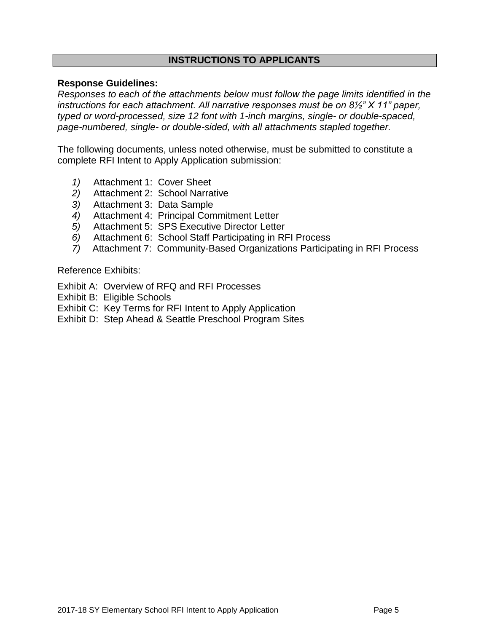# **INSTRUCTIONS TO APPLICANTS**

### **Response Guidelines:**

*Responses to each of the attachments below must follow the page limits identified in the instructions for each attachment. All narrative responses must be on 8½" X 11" paper, typed or word-processed, size 12 font with 1-inch margins, single- or double-spaced, page-numbered, single- or double-sided, with all attachments stapled together.*

The following documents, unless noted otherwise, must be submitted to constitute a complete RFI Intent to Apply Application submission:

- *1)* Attachment 1: Cover Sheet
- *2)* Attachment 2: School Narrative
- *3)* Attachment 3: Data Sample
- *4)* Attachment 4: Principal Commitment Letter
- *5)* Attachment 5: SPS Executive Director Letter
- *6)* Attachment 6: School Staff Participating in RFI Process
- *7)* Attachment 7: Community-Based Organizations Participating in RFI Process

Reference Exhibits:

- Exhibit A: Overview of RFQ and RFI Processes
- Exhibit B: Eligible Schools
- Exhibit C: Key Terms for RFI Intent to Apply Application
- Exhibit D: Step Ahead & Seattle Preschool Program Sites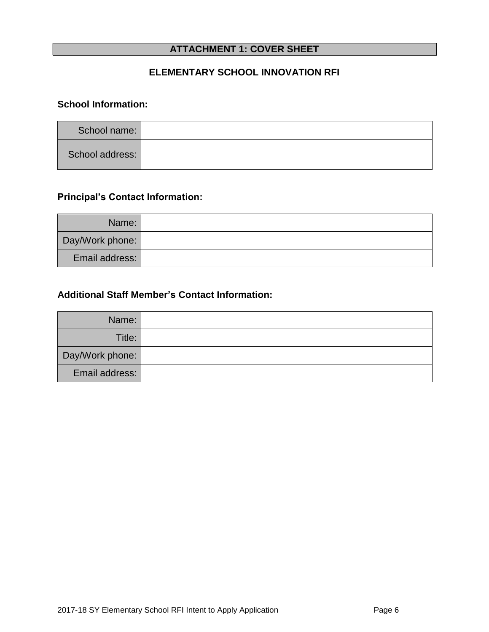# **ATTACHMENT 1: COVER SHEET**

# **ELEMENTARY SCHOOL INNOVATION RFI**

# **School Information:**

| School name:    |  |
|-----------------|--|
| School address: |  |

# **Principal's Contact Information:**

| Name:           |  |
|-----------------|--|
| Day/Work phone: |  |
| Email address:  |  |

# **Additional Staff Member's Contact Information:**

| Name:           |  |
|-----------------|--|
| Title:          |  |
| Day/Work phone: |  |
| Email address:  |  |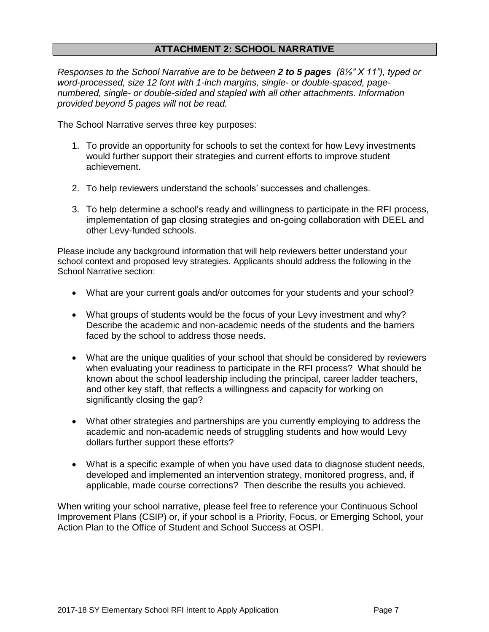# **ATTACHMENT 2: SCHOOL NARRATIVE**

*Responses to the School Narrative are to be between 2 to 5 pages (8½" X 11"), typed or word-processed, size 12 font with 1-inch margins, single- or double-spaced, pagenumbered, single- or double-sided and stapled with all other attachments. Information provided beyond 5 pages will not be read.*

The School Narrative serves three key purposes:

- 1. To provide an opportunity for schools to set the context for how Levy investments would further support their strategies and current efforts to improve student achievement.
- 2. To help reviewers understand the schools' successes and challenges.
- 3. To help determine a school's ready and willingness to participate in the RFI process, implementation of gap closing strategies and on-going collaboration with DEEL and other Levy-funded schools.

Please include any background information that will help reviewers better understand your school context and proposed levy strategies. Applicants should address the following in the School Narrative section:

- What are your current goals and/or outcomes for your students and your school?
- What groups of students would be the focus of your Levy investment and why? Describe the academic and non-academic needs of the students and the barriers faced by the school to address those needs.
- What are the unique qualities of your school that should be considered by reviewers when evaluating your readiness to participate in the RFI process? What should be known about the school leadership including the principal, career ladder teachers, and other key staff, that reflects a willingness and capacity for working on significantly closing the gap?
- What other strategies and partnerships are you currently employing to address the academic and non-academic needs of struggling students and how would Levy dollars further support these efforts?
- What is a specific example of when you have used data to diagnose student needs, developed and implemented an intervention strategy, monitored progress, and, if applicable, made course corrections? Then describe the results you achieved.

When writing your school narrative, please feel free to reference your Continuous School Improvement Plans (CSIP) or, if your school is a Priority, Focus, or Emerging School, your Action Plan to the Office of Student and School Success at OSPI.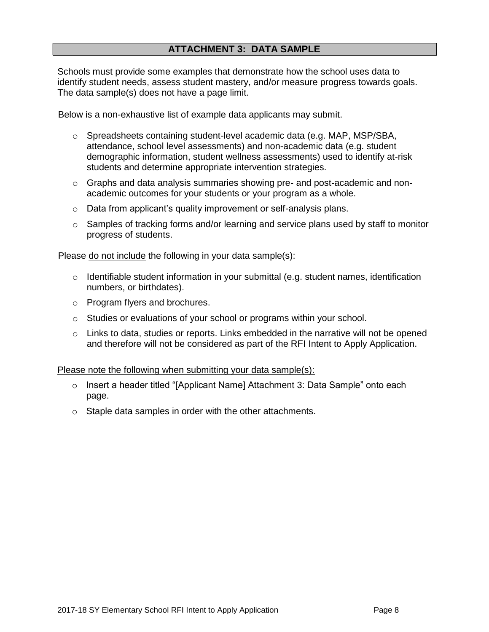Schools must provide some examples that demonstrate how the school uses data to identify student needs, assess student mastery, and/or measure progress towards goals. The data sample(s) does not have a page limit.

Below is a non-exhaustive list of example data applicants may submit.

- o Spreadsheets containing student-level academic data (e.g. MAP, MSP/SBA, attendance, school level assessments) and non-academic data (e.g. student demographic information, student wellness assessments) used to identify at-risk students and determine appropriate intervention strategies.
- o Graphs and data analysis summaries showing pre- and post-academic and nonacademic outcomes for your students or your program as a whole.
- o Data from applicant's quality improvement or self-analysis plans.
- $\circ$  Samples of tracking forms and/or learning and service plans used by staff to monitor progress of students.

Please do not include the following in your data sample(s):

- $\circ$  Identifiable student information in your submittal (e.g. student names, identification numbers, or birthdates).
- o Program flyers and brochures.
- o Studies or evaluations of your school or programs within your school.
- o Links to data, studies or reports. Links embedded in the narrative will not be opened and therefore will not be considered as part of the RFI Intent to Apply Application.

Please note the following when submitting your data sample(s):

- o Insert a header titled "[Applicant Name] Attachment 3: Data Sample" onto each page.
- o Staple data samples in order with the other attachments.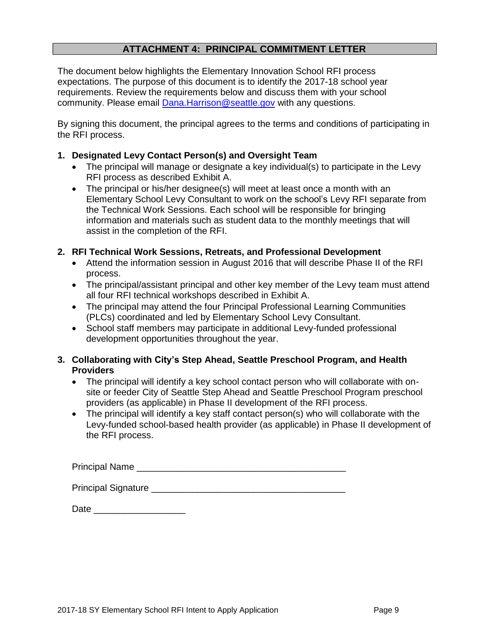# **ATTACHMENT 4: PRINCIPAL COMMITMENT LETTER**

The document below highlights the Elementary Innovation School RFI process expectations. The purpose of this document is to identify the 2017-18 school year requirements. Review the requirements below and discuss them with your school community. Please email [Dana.Harrison@seattle.gov](mailto:Dana.Harrison@seattle.gov) with any questions.

By signing this document, the principal agrees to the terms and conditions of participating in the RFI process.

#### **1. Designated Levy Contact Person(s) and Oversight Team**

- The principal will manage or designate a key individual(s) to participate in the Levy RFI process as described Exhibit A.
- The principal or his/her designee(s) will meet at least once a month with an Elementary School Levy Consultant to work on the school's Levy RFI separate from the Technical Work Sessions. Each school will be responsible for bringing information and materials such as student data to the monthly meetings that will assist in the completion of the RFI.

#### **2. RFI Technical Work Sessions, Retreats, and Professional Development**

- Attend the information session in August 2016 that will describe Phase II of the RFI process.
- The principal/assistant principal and other key member of the Levy team must attend all four RFI technical workshops described in Exhibit A.
- The principal may attend the four Principal Professional Learning Communities (PLCs) coordinated and led by Elementary School Levy Consultant.
- School staff members may participate in additional Levy-funded professional development opportunities throughout the year.

### **3. Collaborating with City's Step Ahead, Seattle Preschool Program, and Health Providers**

- The principal will identify a key school contact person who will collaborate with onsite or feeder City of Seattle Step Ahead and Seattle Preschool Program preschool providers (as applicable) in Phase II development of the RFI process.
- The principal will identify a key staff contact person(s) who will collaborate with the Levy-funded school-based health provider (as applicable) in Phase II development of the RFI process.

Principal Name **Exercise 20** 

Principal Signature **Executive Signature** and the set of the set of the set of the set of the set of the set of the set of the set of the set of the set of the set of the set of the set of the set of the set of the set of

Date \_\_\_\_\_\_\_\_\_\_\_\_\_\_\_\_\_\_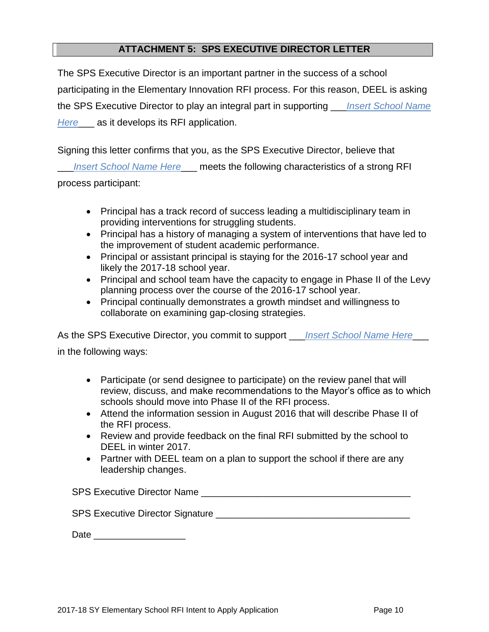# **ATTACHMENT 5: SPS EXECUTIVE DIRECTOR LETTER**

The SPS Executive Director is an important partner in the success of a school participating in the Elementary Innovation RFI process. For this reason, DEEL is asking the SPS Executive Director to play an integral part in supporting \_\_\_*Insert School Name Here*\_\_\_ as it develops its RFI application.

Signing this letter confirms that you, as the SPS Executive Director, believe that

\_\_\_*Insert School Name Here*\_\_\_ meets the following characteristics of a strong RFI process participant:

- Principal has a track record of success leading a multidisciplinary team in providing interventions for struggling students.
- Principal has a history of managing a system of interventions that have led to the improvement of student academic performance.
- Principal or assistant principal is staying for the 2016-17 school year and likely the 2017-18 school year.
- Principal and school team have the capacity to engage in Phase II of the Levy planning process over the course of the 2016-17 school year.
- Principal continually demonstrates a growth mindset and willingness to collaborate on examining gap-closing strategies.

As the SPS Executive Director, you commit to support *Insert School Name Here* 

in the following ways:

- Participate (or send designee to participate) on the review panel that will review, discuss, and make recommendations to the Mayor's office as to which schools should move into Phase II of the RFI process.
- Attend the information session in August 2016 that will describe Phase II of the RFI process.
- Review and provide feedback on the final RFI submitted by the school to DEEL in winter 2017.
- Partner with DEEL team on a plan to support the school if there are any leadership changes.

SPS Executive Director Name **Example 2018** 

SPS Executive Director Signature \_\_\_\_\_\_\_\_\_\_\_\_\_\_\_\_\_\_\_\_\_\_\_\_\_\_\_\_\_\_\_\_\_\_\_\_\_\_

| Date |  |  |  |
|------|--|--|--|
|      |  |  |  |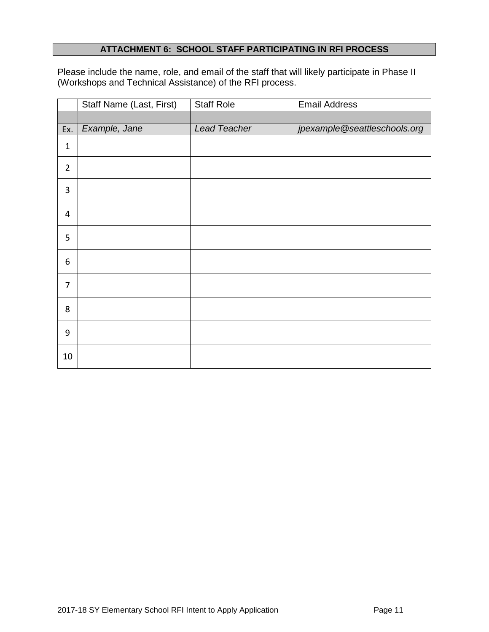### **ATTACHMENT 6: SCHOOL STAFF PARTICIPATING IN RFI PROCESS**

Please include the name, role, and email of the staff that will likely participate in Phase II (Workshops and Technical Assistance) of the RFI process.

|                | Staff Name (Last, First) | <b>Staff Role</b> | <b>Email Address</b>         |
|----------------|--------------------------|-------------------|------------------------------|
|                |                          |                   |                              |
| Ex.            | Example, Jane            | Lead Teacher      | jpexample@seattleschools.org |
| $\mathbf{1}$   |                          |                   |                              |
| $\overline{2}$ |                          |                   |                              |
| 3              |                          |                   |                              |
| $\overline{4}$ |                          |                   |                              |
| 5              |                          |                   |                              |
| 6              |                          |                   |                              |
| 7              |                          |                   |                              |
| 8              |                          |                   |                              |
| 9              |                          |                   |                              |
| 10             |                          |                   |                              |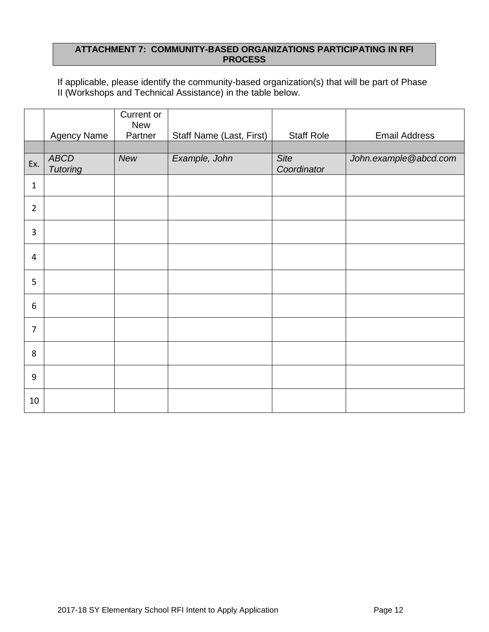### **ATTACHMENT 7: COMMUNITY-BASED ORGANIZATIONS PARTICIPATING IN RFI PROCESS**

If applicable, please identify the community-based organization(s) that will be part of Phase II (Workshops and Technical Assistance) in the table below.

|                |                                | Current or<br><b>New</b> |                                 |                     |                       |
|----------------|--------------------------------|--------------------------|---------------------------------|---------------------|-----------------------|
|                | <b>Agency Name</b>             | Partner                  | <b>Staff Name (Last, First)</b> | <b>Staff Role</b>   | <b>Email Address</b>  |
|                |                                |                          |                                 |                     |                       |
| Ex.            | <b>ABCD</b><br><b>Tutoring</b> | New                      | Example, John                   | Site<br>Coordinator | John.example@abcd.com |
| $\mathbf{1}$   |                                |                          |                                 |                     |                       |
| $\overline{2}$ |                                |                          |                                 |                     |                       |
| $\overline{3}$ |                                |                          |                                 |                     |                       |
| 4              |                                |                          |                                 |                     |                       |
| 5              |                                |                          |                                 |                     |                       |
| 6              |                                |                          |                                 |                     |                       |
| $\overline{7}$ |                                |                          |                                 |                     |                       |
| 8              |                                |                          |                                 |                     |                       |
| 9              |                                |                          |                                 |                     |                       |
| 10             |                                |                          |                                 |                     |                       |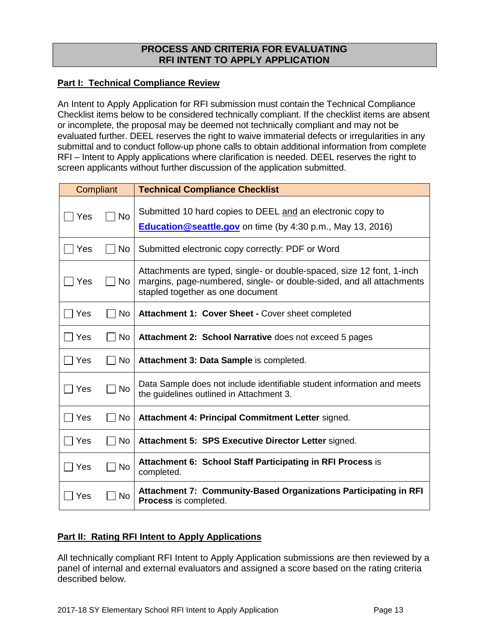### **PROCESS AND CRITERIA FOR EVALUATING RFI INTENT TO APPLY APPLICATION**

### **Part I: Technical Compliance Review**

An Intent to Apply Application for RFI submission must contain the Technical Compliance Checklist items below to be considered technically compliant. If the checklist items are absent or incomplete, the proposal may be deemed not technically compliant and may not be evaluated further. DEEL reserves the right to waive immaterial defects or irregularities in any submittal and to conduct follow-up phone calls to obtain additional information from complete RFI – Intent to Apply applications where clarification is needed. DEEL reserves the right to screen applicants without further discussion of the application submitted.

| Compliant    |           | <b>Technical Compliance Checklist</b>                                                                                                                                             |
|--------------|-----------|-----------------------------------------------------------------------------------------------------------------------------------------------------------------------------------|
| Yes          | <b>No</b> | Submitted 10 hard copies to DEEL and an electronic copy to<br><b>Education @seattle.gov</b> on time (by 4:30 p.m., May 13, 2016)                                                  |
| $\sqcap$ Yes | No        | Submitted electronic copy correctly: PDF or Word                                                                                                                                  |
| $\sqcap$ Yes | No        | Attachments are typed, single- or double-spaced, size 12 font, 1-inch<br>margins, page-numbered, single- or double-sided, and all attachments<br>stapled together as one document |
| $\sqcap$ Yes | No        | Attachment 1: Cover Sheet - Cover sheet completed                                                                                                                                 |
| ∏ Yes        | No        | Attachment 2: School Narrative does not exceed 5 pages                                                                                                                            |
| Yes          | No        | Attachment 3: Data Sample is completed.                                                                                                                                           |
| $\Box$ Yes   | $\Box$ No | Data Sample does not include identifiable student information and meets<br>the guidelines outlined in Attachment 3.                                                               |
| $\sqcap$ Yes | <b>No</b> | Attachment 4: Principal Commitment Letter signed.                                                                                                                                 |
| Yes          | No        | Attachment 5: SPS Executive Director Letter signed.                                                                                                                               |
| Yes          | <b>No</b> | <b>Attachment 6: School Staff Participating in RFI Process is</b><br>completed.                                                                                                   |
| Yes          | No        | Attachment 7: Community-Based Organizations Participating in RFI<br>Process is completed.                                                                                         |

### **Part II: Rating RFI Intent to Apply Applications**

All technically compliant RFI Intent to Apply Application submissions are then reviewed by a panel of internal and external evaluators and assigned a score based on the rating criteria described below.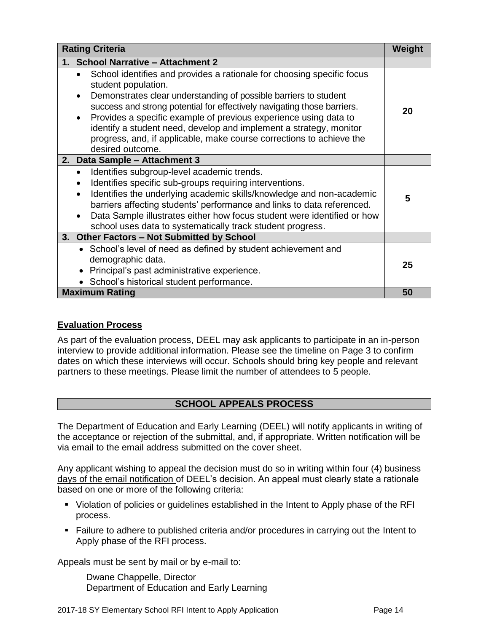| <b>Rating Criteria</b>                                                                                                                                                                                                                                                                                                                                                                                                                                                                                                    | Weight |
|---------------------------------------------------------------------------------------------------------------------------------------------------------------------------------------------------------------------------------------------------------------------------------------------------------------------------------------------------------------------------------------------------------------------------------------------------------------------------------------------------------------------------|--------|
| 1. School Narrative - Attachment 2                                                                                                                                                                                                                                                                                                                                                                                                                                                                                        |        |
| School identifies and provides a rationale for choosing specific focus<br>$\bullet$<br>student population.<br>Demonstrates clear understanding of possible barriers to student<br>$\bullet$<br>success and strong potential for effectively navigating those barriers.<br>Provides a specific example of previous experience using data to<br>$\bullet$<br>identify a student need, develop and implement a strategy, monitor<br>progress, and, if applicable, make course corrections to achieve the<br>desired outcome. | 20     |
| 2. Data Sample - Attachment 3                                                                                                                                                                                                                                                                                                                                                                                                                                                                                             |        |
| Identifies subgroup-level academic trends.<br>$\bullet$<br>Identifies specific sub-groups requiring interventions.<br>$\bullet$<br>Identifies the underlying academic skills/knowledge and non-academic<br>$\bullet$<br>barriers affecting students' performance and links to data referenced.<br>Data Sample illustrates either how focus student were identified or how<br>school uses data to systematically track student progress.                                                                                   | 5      |
| 3. Other Factors - Not Submitted by School                                                                                                                                                                                                                                                                                                                                                                                                                                                                                |        |
| • School's level of need as defined by student achievement and<br>demographic data.<br>Principal's past administrative experience.<br>$\bullet$<br>• School's historical student performance.                                                                                                                                                                                                                                                                                                                             | 25     |
| <b>Maximum Rating</b>                                                                                                                                                                                                                                                                                                                                                                                                                                                                                                     | 50     |

### **Evaluation Process**

As part of the evaluation process, DEEL may ask applicants to participate in an in-person interview to provide additional information. Please see the timeline on Page 3 to confirm dates on which these interviews will occur. Schools should bring key people and relevant partners to these meetings. Please limit the number of attendees to 5 people.

### **SCHOOL APPEALS PROCESS**

The Department of Education and Early Learning (DEEL) will notify applicants in writing of the acceptance or rejection of the submittal, and, if appropriate. Written notification will be via email to the email address submitted on the cover sheet.

Any applicant wishing to appeal the decision must do so in writing within four (4) business days of the email notification of DEEL's decision. An appeal must clearly state a rationale based on one or more of the following criteria:

- Violation of policies or guidelines established in the Intent to Apply phase of the RFI process.
- Failure to adhere to published criteria and/or procedures in carrying out the Intent to Apply phase of the RFI process.

Appeals must be sent by mail or by e-mail to:

Dwane Chappelle, Director Department of Education and Early Learning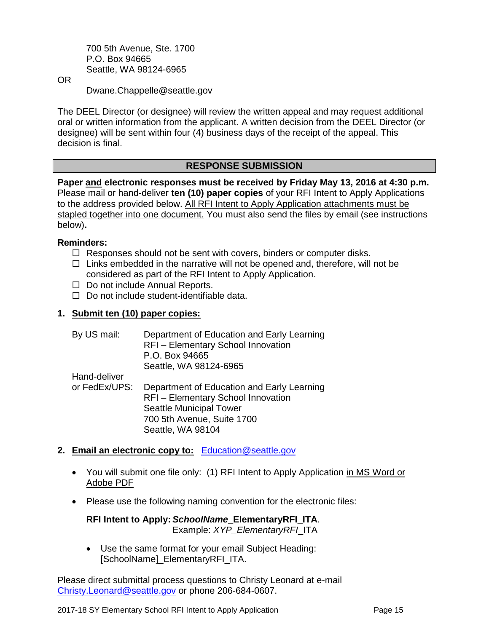700 5th Avenue, Ste. 1700 P.O. Box 94665 Seattle, WA 98124-6965

OR

Dwane.Chappelle@seattle.gov

The DEEL Director (or designee) will review the written appeal and may request additional oral or written information from the applicant. A written decision from the DEEL Director (or designee) will be sent within four (4) business days of the receipt of the appeal. This decision is final.

### **RESPONSE SUBMISSION**

**Paper and electronic responses must be received by Friday May 13, 2016 at 4:30 p.m.** Please mail or hand-deliver **ten (10) paper copies** of your RFI Intent to Apply Applications to the address provided below. All RFI Intent to Apply Application attachments must be stapled together into one document. You must also send the files by email (see instructions below)**.**

#### **Reminders:**

- $\Box$  Responses should not be sent with covers, binders or computer disks.
- $\Box$  Links embedded in the narrative will not be opened and, therefore, will not be considered as part of the RFI Intent to Apply Application.
- $\Box$  Do not include Annual Reports.
- $\Box$  Do not include student-identifiable data.

### **1. Submit ten (10) paper copies:**

| By US mail:   | Department of Education and Early Learning<br>RFI - Elementary School Innovation<br>P.O. Box 94665<br>Seattle, WA 98124-6965 |
|---------------|------------------------------------------------------------------------------------------------------------------------------|
| Hand-deliver  |                                                                                                                              |
| or FedEx/UPS: | Department of Education and Early Learning<br><b>RFI-Elementary School Innovation</b>                                        |
|               | <b>Seattle Municipal Tower</b>                                                                                               |

700 5th Avenue, Suite 1700

**2. Email an electronic copy to:** [Education@seattle.gov](mailto:Education@seattle.gov)

Seattle, WA 98104

- You will submit one file only: (1) RFI Intent to Apply Application in MS Word or Adobe PDF
- Please use the following naming convention for the electronic files:

#### **RFI Intent to Apply:** *SchoolName***\_ElementaryRFI\_ITA**. Example: *XYP\_ElementaryRFI*\_ITA

 Use the same format for your email Subject Heading: [SchoolName]\_ElementaryRFI\_ITA.

Please direct submittal process questions to Christy Leonard at e-mail [Christy.Leonard@seattle.gov](mailto:Christy.Leonard@seattle.gov) or phone 206-684-0607.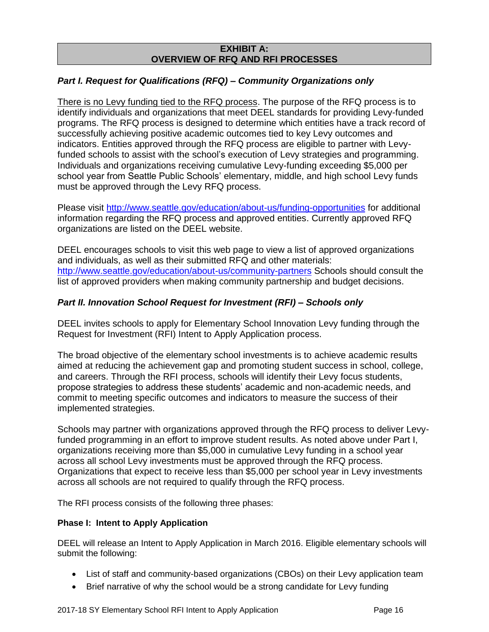#### **EXHIBIT A: OVERVIEW OF RFQ AND RFI PROCESSES**

### *Part I. Request for Qualifications (RFQ)* **–** *Community Organizations only*

There is no Levy funding tied to the RFQ process. The purpose of the RFQ process is to identify individuals and organizations that meet DEEL standards for providing Levy-funded programs. The RFQ process is designed to determine which entities have a track record of successfully achieving positive academic outcomes tied to key Levy outcomes and indicators. Entities approved through the RFQ process are eligible to partner with Levyfunded schools to assist with the school's execution of Levy strategies and programming. Individuals and organizations receiving cumulative Levy-funding exceeding \$5,000 per school year from Seattle Public Schools' elementary, middle, and high school Levy funds must be approved through the Levy RFQ process.

Please visit <http://www.seattle.gov/education/about-us/funding-opportunities> for additional information regarding the RFQ process and approved entities. Currently approved RFQ organizations are listed on the DEEL website.

DEEL encourages schools to visit this web page to view a list of approved organizations and individuals, as well as their submitted RFQ and other materials: <http://www.seattle.gov/education/about-us/community-partners> Schools should consult the list of approved providers when making community partnership and budget decisions.

### *Part II. Innovation School Request for Investment (RFI) – Schools only*

DEEL invites schools to apply for Elementary School Innovation Levy funding through the Request for Investment (RFI) Intent to Apply Application process.

The broad objective of the elementary school investments is to achieve academic results aimed at reducing the achievement gap and promoting student success in school, college, and careers. Through the RFI process, schools will identify their Levy focus students, propose strategies to address these students' academic and non-academic needs, and commit to meeting specific outcomes and indicators to measure the success of their implemented strategies.

Schools may partner with organizations approved through the RFQ process to deliver Levyfunded programming in an effort to improve student results. As noted above under Part I, organizations receiving more than \$5,000 in cumulative Levy funding in a school year across all school Levy investments must be approved through the RFQ process. Organizations that expect to receive less than \$5,000 per school year in Levy investments across all schools are not required to qualify through the RFQ process.

The RFI process consists of the following three phases:

#### **Phase I: Intent to Apply Application**

DEEL will release an Intent to Apply Application in March 2016. Eligible elementary schools will submit the following:

- List of staff and community-based organizations (CBOs) on their Levy application team
- Brief narrative of why the school would be a strong candidate for Levy funding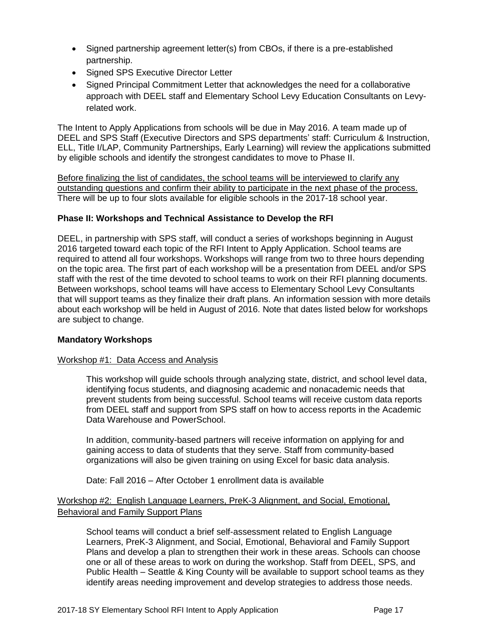- Signed partnership agreement letter(s) from CBOs, if there is a pre-established partnership.
- Signed SPS Executive Director Letter
- Signed Principal Commitment Letter that acknowledges the need for a collaborative approach with DEEL staff and Elementary School Levy Education Consultants on Levyrelated work.

The Intent to Apply Applications from schools will be due in May 2016. A team made up of DEEL and SPS Staff (Executive Directors and SPS departments' staff: Curriculum & Instruction, ELL, Title I/LAP, Community Partnerships, Early Learning) will review the applications submitted by eligible schools and identify the strongest candidates to move to Phase II.

Before finalizing the list of candidates, the school teams will be interviewed to clarify any outstanding questions and confirm their ability to participate in the next phase of the process. There will be up to four slots available for eligible schools in the 2017-18 school year.

### **Phase II: Workshops and Technical Assistance to Develop the RFI**

DEEL, in partnership with SPS staff, will conduct a series of workshops beginning in August 2016 targeted toward each topic of the RFI Intent to Apply Application. School teams are required to attend all four workshops. Workshops will range from two to three hours depending on the topic area. The first part of each workshop will be a presentation from DEEL and/or SPS staff with the rest of the time devoted to school teams to work on their RFI planning documents. Between workshops, school teams will have access to Elementary School Levy Consultants that will support teams as they finalize their draft plans. An information session with more details about each workshop will be held in August of 2016. Note that dates listed below for workshops are subject to change.

#### **Mandatory Workshops**

#### Workshop #1: Data Access and Analysis

This workshop will guide schools through analyzing state, district, and school level data, identifying focus students, and diagnosing academic and nonacademic needs that prevent students from being successful. School teams will receive custom data reports from DEEL staff and support from SPS staff on how to access reports in the Academic Data Warehouse and PowerSchool.

In addition, community-based partners will receive information on applying for and gaining access to data of students that they serve. Staff from community-based organizations will also be given training on using Excel for basic data analysis.

Date: Fall 2016 – After October 1 enrollment data is available

### Workshop #2: English Language Learners, PreK-3 Alignment, and Social, Emotional, Behavioral and Family Support Plans

School teams will conduct a brief self-assessment related to English Language Learners, PreK-3 Alignment, and Social, Emotional, Behavioral and Family Support Plans and develop a plan to strengthen their work in these areas. Schools can choose one or all of these areas to work on during the workshop. Staff from DEEL, SPS, and Public Health – Seattle & King County will be available to support school teams as they identify areas needing improvement and develop strategies to address those needs.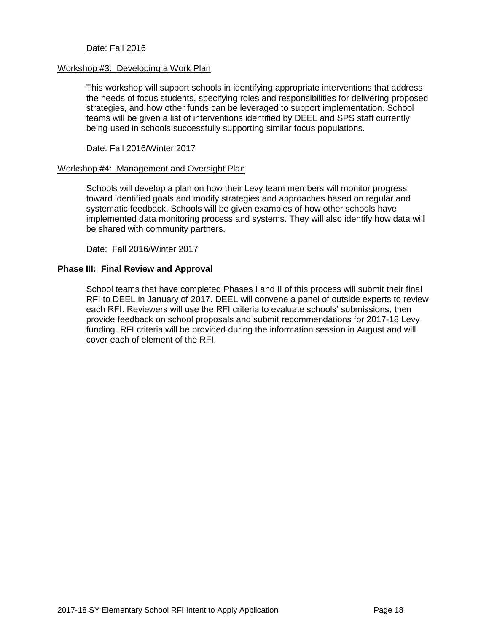#### Date: Fall 2016

#### Workshop #3: Developing a Work Plan

This workshop will support schools in identifying appropriate interventions that address the needs of focus students, specifying roles and responsibilities for delivering proposed strategies, and how other funds can be leveraged to support implementation. School teams will be given a list of interventions identified by DEEL and SPS staff currently being used in schools successfully supporting similar focus populations.

Date: Fall 2016/Winter 2017

#### Workshop #4: Management and Oversight Plan

Schools will develop a plan on how their Levy team members will monitor progress toward identified goals and modify strategies and approaches based on regular and systematic feedback. Schools will be given examples of how other schools have implemented data monitoring process and systems. They will also identify how data will be shared with community partners.

Date: Fall 2016/Winter 2017

#### **Phase III: Final Review and Approval**

School teams that have completed Phases I and II of this process will submit their final RFI to DEEL in January of 2017. DEEL will convene a panel of outside experts to review each RFI. Reviewers will use the RFI criteria to evaluate schools' submissions, then provide feedback on school proposals and submit recommendations for 2017-18 Levy funding. RFI criteria will be provided during the information session in August and will cover each of element of the RFI.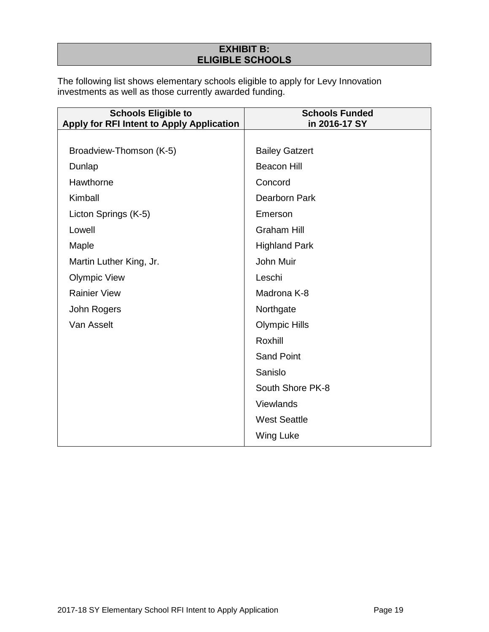# **EXHIBIT B: ELIGIBLE SCHOOLS**

The following list shows elementary schools eligible to apply for Levy Innovation investments as well as those currently awarded funding.

| <b>Schools Eligible to</b><br>Apply for RFI Intent to Apply Application | <b>Schools Funded</b><br>in 2016-17 SY |
|-------------------------------------------------------------------------|----------------------------------------|
|                                                                         |                                        |
| Broadview-Thomson (K-5)                                                 | <b>Bailey Gatzert</b>                  |
| Dunlap                                                                  | <b>Beacon Hill</b>                     |
| Hawthorne                                                               | Concord                                |
| Kimball                                                                 | Dearborn Park                          |
| Licton Springs (K-5)                                                    | Emerson                                |
| Lowell                                                                  | <b>Graham Hill</b>                     |
| Maple                                                                   | <b>Highland Park</b>                   |
| Martin Luther King, Jr.                                                 | John Muir                              |
| <b>Olympic View</b>                                                     | Leschi                                 |
| <b>Rainier View</b>                                                     | Madrona K-8                            |
| John Rogers                                                             | Northgate                              |
| Van Asselt                                                              | <b>Olympic Hills</b>                   |
|                                                                         | Roxhill                                |
|                                                                         | <b>Sand Point</b>                      |
|                                                                         | Sanislo                                |
|                                                                         | South Shore PK-8                       |
|                                                                         | Viewlands                              |
|                                                                         | <b>West Seattle</b>                    |
|                                                                         | <b>Wing Luke</b>                       |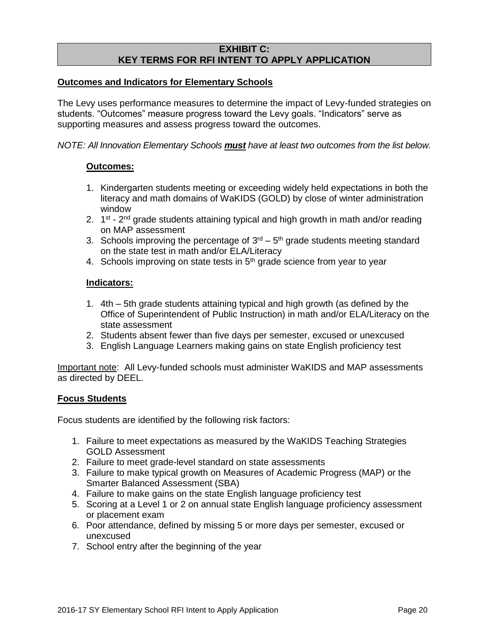### **EXHIBIT C: KEY TERMS FOR RFI INTENT TO APPLY APPLICATION**

#### **Outcomes and Indicators for Elementary Schools**

The Levy uses performance measures to determine the impact of Levy-funded strategies on students. "Outcomes" measure progress toward the Levy goals. "Indicators" serve as supporting measures and assess progress toward the outcomes.

*NOTE: All Innovation Elementary Schools must have at least two outcomes from the list below.*

#### **Outcomes:**

- 1. Kindergarten students meeting or exceeding widely held expectations in both the literacy and math domains of WaKIDS (GOLD) by close of winter administration window
- 2.  $1<sup>st</sup>$  2<sup>nd</sup> grade students attaining typical and high growth in math and/or reading on MAP assessment
- 3. Schools improving the percentage of  $3<sup>rd</sup> 5<sup>th</sup>$  grade students meeting standard on the state test in math and/or ELA/Literacy
- 4. Schools improving on state tests in 5<sup>th</sup> grade science from year to year

#### **Indicators:**

- 1. 4th 5th grade students attaining typical and high growth (as defined by the Office of Superintendent of Public Instruction) in math and/or ELA/Literacy on the state assessment
- 2. Students absent fewer than five days per semester, excused or unexcused
- 3. English Language Learners making gains on state English proficiency test

Important note: All Levy-funded schools must administer WaKIDS and MAP assessments as directed by DEEL.

#### **Focus Students**

Focus students are identified by the following risk factors:

- 1. Failure to meet expectations as measured by the WaKIDS Teaching Strategies GOLD Assessment
- 2. Failure to meet grade-level standard on state assessments
- 3. Failure to make typical growth on Measures of Academic Progress (MAP) or the Smarter Balanced Assessment (SBA)
- 4. Failure to make gains on the state English language proficiency test
- 5. Scoring at a Level 1 or 2 on annual state English language proficiency assessment or placement exam
- 6. Poor attendance, defined by missing 5 or more days per semester, excused or unexcused
- 7. School entry after the beginning of the year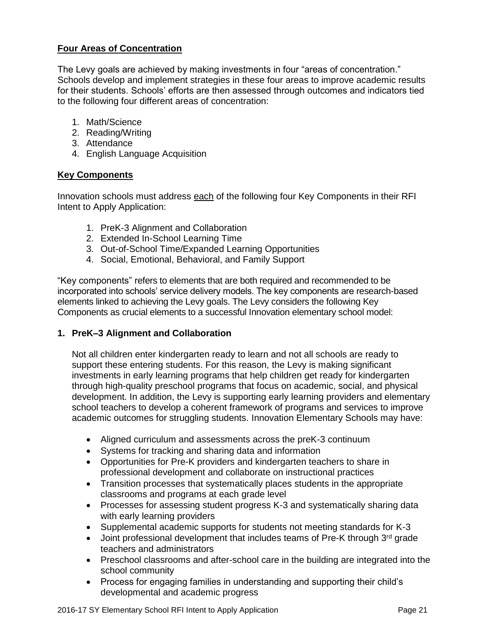### **Four Areas of Concentration**

The Levy goals are achieved by making investments in four "areas of concentration." Schools develop and implement strategies in these four areas to improve academic results for their students. Schools' efforts are then assessed through outcomes and indicators tied to the following four different areas of concentration:

- 1. Math/Science
- 2. Reading/Writing
- 3. Attendance
- 4. English Language Acquisition

#### **Key Components**

Innovation schools must address each of the following four Key Components in their RFI Intent to Apply Application:

- 1. PreK-3 Alignment and Collaboration
- 2. Extended In-School Learning Time
- 3. Out-of-School Time/Expanded Learning Opportunities
- 4. Social, Emotional, Behavioral, and Family Support

"Key components" refers to elements that are both required and recommended to be incorporated into schools' service delivery models. The key components are research-based elements linked to achieving the Levy goals. The Levy considers the following Key Components as crucial elements to a successful Innovation elementary school model:

#### **1. PreK–3 Alignment and Collaboration**

Not all children enter kindergarten ready to learn and not all schools are ready to support these entering students. For this reason, the Levy is making significant investments in early learning programs that help children get ready for kindergarten through high-quality preschool programs that focus on academic, social, and physical development. In addition, the Levy is supporting early learning providers and elementary school teachers to develop a coherent framework of programs and services to improve academic outcomes for struggling students. Innovation Elementary Schools may have:

- Aligned curriculum and assessments across the preK-3 continuum
- Systems for tracking and sharing data and information
- Opportunities for Pre-K providers and kindergarten teachers to share in professional development and collaborate on instructional practices
- Transition processes that systematically places students in the appropriate classrooms and programs at each grade level
- Processes for assessing student progress K-3 and systematically sharing data with early learning providers
- Supplemental academic supports for students not meeting standards for K-3
- $\bullet$  Joint professional development that includes teams of Pre-K through 3<sup>rd</sup> grade teachers and administrators
- Preschool classrooms and after-school care in the building are integrated into the school community
- Process for engaging families in understanding and supporting their child's developmental and academic progress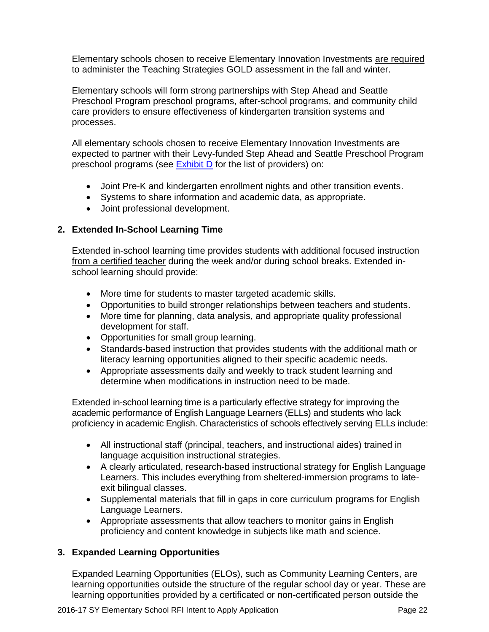Elementary schools chosen to receive Elementary Innovation Investments are required to administer the Teaching Strategies GOLD assessment in the fall and winter.

Elementary schools will form strong partnerships with Step Ahead and Seattle Preschool Program preschool programs, after-school programs, and community child care providers to ensure effectiveness of kindergarten transition systems and processes.

All elementary schools chosen to receive Elementary Innovation Investments are expected to partner with their Levy-funded Step Ahead and Seattle Preschool Program preschool programs (see [Exhibit](#page-24-0) D for the list of providers) on:

- Joint Pre-K and kindergarten enrollment nights and other transition events.
- Systems to share information and academic data, as appropriate.
- Joint professional development.

# **2. Extended In-School Learning Time**

Extended in-school learning time provides students with additional focused instruction from a certified teacher during the week and/or during school breaks. Extended inschool learning should provide:

- More time for students to master targeted academic skills.
- Opportunities to build stronger relationships between teachers and students.
- More time for planning, data analysis, and appropriate quality professional development for staff.
- Opportunities for small group learning.
- Standards-based instruction that provides students with the additional math or literacy learning opportunities aligned to their specific academic needs.
- Appropriate assessments daily and weekly to track student learning and determine when modifications in instruction need to be made.

Extended in-school learning time is a particularly effective strategy for improving the academic performance of English Language Learners (ELLs) and students who lack proficiency in academic English. Characteristics of schools effectively serving ELLs include:

- All instructional staff (principal, teachers, and instructional aides) trained in language acquisition instructional strategies.
- A clearly articulated, research-based instructional strategy for English Language Learners. This includes everything from sheltered-immersion programs to lateexit bilingual classes.
- Supplemental materials that fill in gaps in core curriculum programs for English Language Learners.
- Appropriate assessments that allow teachers to monitor gains in English proficiency and content knowledge in subjects like math and science.

### **3. Expanded Learning Opportunities**

Expanded Learning Opportunities (ELOs), such as Community Learning Centers, are learning opportunities outside the structure of the regular school day or year. These are learning opportunities provided by a certificated or non-certificated person outside the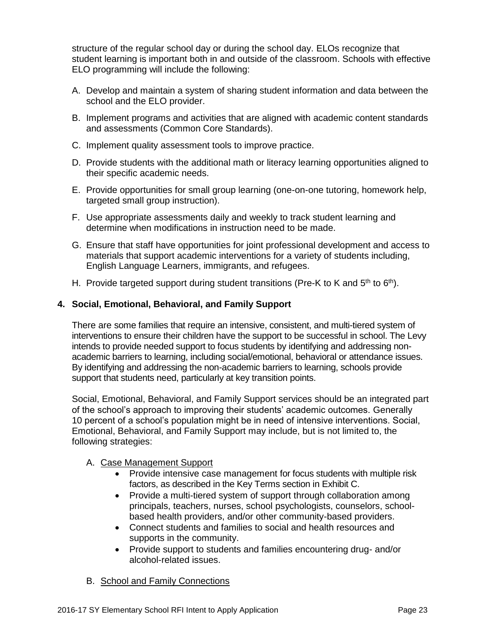structure of the regular school day or during the school day. ELOs recognize that student learning is important both in and outside of the classroom. Schools with effective ELO programming will include the following:

- A. Develop and maintain a system of sharing student information and data between the school and the ELO provider.
- B. Implement programs and activities that are aligned with academic content standards and assessments (Common Core Standards).
- C. Implement quality assessment tools to improve practice.
- D. Provide students with the additional math or literacy learning opportunities aligned to their specific academic needs.
- E. Provide opportunities for small group learning (one-on-one tutoring, homework help, targeted small group instruction).
- F. Use appropriate assessments daily and weekly to track student learning and determine when modifications in instruction need to be made.
- G. Ensure that staff have opportunities for joint professional development and access to materials that support academic interventions for a variety of students including, English Language Learners, immigrants, and refugees.
- H. Provide targeted support during student transitions (Pre-K to K and  $5<sup>th</sup>$  to  $6<sup>th</sup>$ ).

### **4. Social, Emotional, Behavioral, and Family Support**

There are some families that require an intensive, consistent, and multi-tiered system of interventions to ensure their children have the support to be successful in school. The Levy intends to provide needed support to focus students by identifying and addressing nonacademic barriers to learning, including social/emotional, behavioral or attendance issues. By identifying and addressing the non-academic barriers to learning, schools provide support that students need, particularly at key transition points.

Social, Emotional, Behavioral, and Family Support services should be an integrated part of the school's approach to improving their students' academic outcomes. Generally 10 percent of a school's population might be in need of intensive interventions. Social, Emotional, Behavioral, and Family Support may include, but is not limited to, the following strategies:

#### A. Case Management Support

- Provide intensive case management for focus students with multiple risk factors, as described in the Key Terms section in Exhibit C.
- Provide a multi-tiered system of support through collaboration among principals, teachers, nurses, school psychologists, counselors, schoolbased health providers, and/or other community-based providers.
- Connect students and families to social and health resources and supports in the community.
- Provide support to students and families encountering drug- and/or alcohol-related issues.
- B. School and Family Connections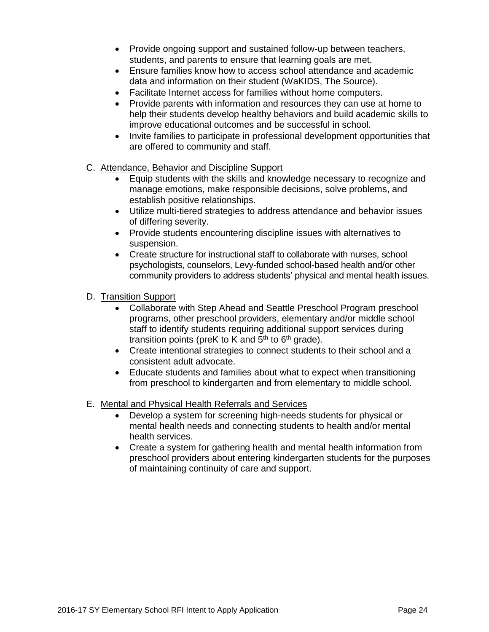- Provide ongoing support and sustained follow-up between teachers, students, and parents to ensure that learning goals are met.
- Ensure families know how to access school attendance and academic data and information on their student (WaKIDS, The Source).
- Facilitate Internet access for families without home computers.
- Provide parents with information and resources they can use at home to help their students develop healthy behaviors and build academic skills to improve educational outcomes and be successful in school.
- Invite families to participate in professional development opportunities that are offered to community and staff.
- C. Attendance, Behavior and Discipline Support
	- Equip students with the skills and knowledge necessary to recognize and manage emotions, make responsible decisions, solve problems, and establish positive relationships.
	- Utilize multi-tiered strategies to address attendance and behavior issues of differing severity.
	- Provide students encountering discipline issues with alternatives to suspension.
	- Create structure for instructional staff to collaborate with nurses, school psychologists, counselors, Levy-funded school-based health and/or other community providers to address students' physical and mental health issues.
- D. Transition Support
	- Collaborate with Step Ahead and Seattle Preschool Program preschool programs, other preschool providers, elementary and/or middle school staff to identify students requiring additional support services during transition points (preK to K and  $5<sup>th</sup>$  to  $6<sup>th</sup>$  grade).
	- Create intentional strategies to connect students to their school and a consistent adult advocate.
	- Educate students and families about what to expect when transitioning from preschool to kindergarten and from elementary to middle school.
- E. Mental and Physical Health Referrals and Services
	- Develop a system for screening high-needs students for physical or mental health needs and connecting students to health and/or mental health services.
	- Create a system for gathering health and mental health information from preschool providers about entering kindergarten students for the purposes of maintaining continuity of care and support.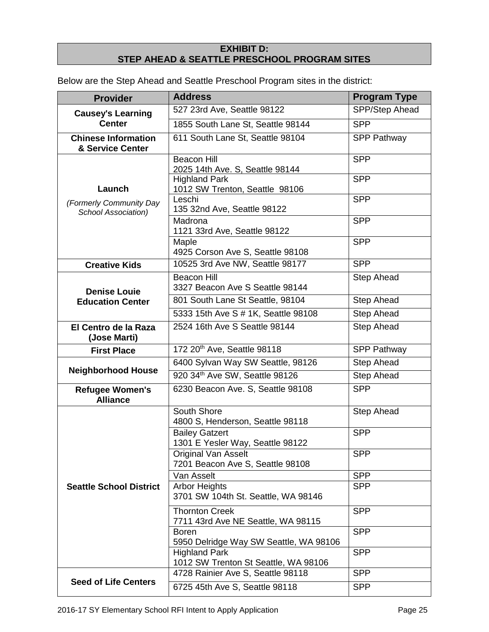## **EXHIBIT D: STEP AHEAD & SEATTLE PRESCHOOL PROGRAM SITES**

<span id="page-24-0"></span>Below are the Step Ahead and Seattle Preschool Program sites in the district:

| <b>Provider</b>                                          | <b>Address</b>                                                 | <b>Program Type</b> |
|----------------------------------------------------------|----------------------------------------------------------------|---------------------|
| <b>Causey's Learning</b><br><b>Center</b>                | 527 23rd Ave, Seattle 98122                                    | SPP/Step Ahead      |
|                                                          | 1855 South Lane St, Seattle 98144                              | <b>SPP</b>          |
| <b>Chinese Information</b><br>& Service Center           | 611 South Lane St, Seattle 98104                               | <b>SPP Pathway</b>  |
| Launch<br>(Formerly Community Day<br>School Association) | <b>Beacon Hill</b><br>2025 14th Ave. S, Seattle 98144          | <b>SPP</b>          |
|                                                          | <b>Highland Park</b><br>1012 SW Trenton, Seattle 98106         | <b>SPP</b>          |
|                                                          | Leschi<br>135 32nd Ave, Seattle 98122                          | <b>SPP</b>          |
|                                                          | Madrona<br>1121 33rd Ave, Seattle 98122                        | <b>SPP</b>          |
|                                                          | Maple<br>4925 Corson Ave S, Seattle 98108                      | <b>SPP</b>          |
| <b>Creative Kids</b>                                     | 10525 3rd Ave NW, Seattle 98177                                | <b>SPP</b>          |
| <b>Denise Louie</b><br><b>Education Center</b>           | <b>Beacon Hill</b><br>3327 Beacon Ave S Seattle 98144          | <b>Step Ahead</b>   |
|                                                          | 801 South Lane St Seattle, 98104                               | <b>Step Ahead</b>   |
|                                                          | 5333 15th Ave S # 1K, Seattle 98108                            | <b>Step Ahead</b>   |
| El Centro de la Raza<br>(Jose Marti)                     | 2524 16th Ave S Seattle 98144                                  | Step Ahead          |
| <b>First Place</b>                                       | 172 20 <sup>th</sup> Ave, Seattle 98118                        | <b>SPP Pathway</b>  |
| <b>Neighborhood House</b>                                | 6400 Sylvan Way SW Seattle, 98126                              | <b>Step Ahead</b>   |
|                                                          | 920 34th Ave SW, Seattle 98126                                 | <b>Step Ahead</b>   |
| <b>Refugee Women's</b><br><b>Alliance</b>                | 6230 Beacon Ave. S, Seattle 98108                              | <b>SPP</b>          |
| <b>Seattle School District</b>                           | South Shore<br>4800 S, Henderson, Seattle 98118                | <b>Step Ahead</b>   |
|                                                          | <b>Bailey Gatzert</b><br>1301 E Yesler Way, Seattle 98122      | <b>SPP</b>          |
|                                                          | <b>Original Van Asselt</b><br>7201 Beacon Ave S, Seattle 98108 | <b>SPP</b>          |
|                                                          | Van Asselt                                                     | <b>SPP</b>          |
|                                                          | <b>Arbor Heights</b><br>3701 SW 104th St. Seattle, WA 98146    | <b>SPP</b>          |
|                                                          | <b>Thornton Creek</b><br>7711 43rd Ave NE Seattle, WA 98115    | <b>SPP</b>          |
|                                                          | <b>Boren</b><br>5950 Delridge Way SW Seattle, WA 98106         | <b>SPP</b>          |
|                                                          | <b>Highland Park</b><br>1012 SW Trenton St Seattle, WA 98106   | <b>SPP</b>          |
|                                                          | 4728 Rainier Ave S, Seattle 98118                              | <b>SPP</b>          |
| <b>Seed of Life Centers</b>                              | 6725 45th Ave S, Seattle 98118                                 | <b>SPP</b>          |